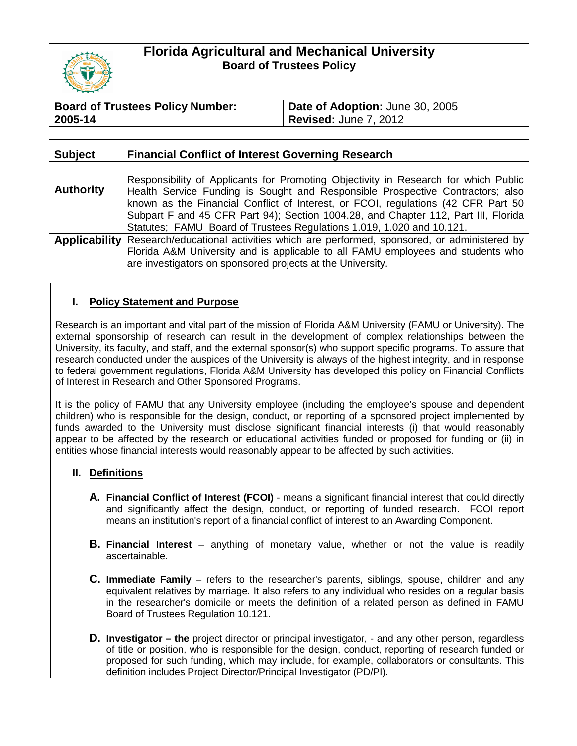

# **Florida Agricultural and Mechanical University Board of Trustees Policy**

| <b>Board of Trustees Policy Number:</b> | Date of Adoption: June 30, 2005 |
|-----------------------------------------|---------------------------------|
| 2005-14                                 | <b>Revised: June 7, 2012</b>    |

| <b>Subject</b>   | <b>Financial Conflict of Interest Governing Research</b>                                                                                                                                                                                                                                                                                                                                                                  |
|------------------|---------------------------------------------------------------------------------------------------------------------------------------------------------------------------------------------------------------------------------------------------------------------------------------------------------------------------------------------------------------------------------------------------------------------------|
| <b>Authority</b> | Responsibility of Applicants for Promoting Objectivity in Research for which Public<br>Health Service Funding is Sought and Responsible Prospective Contractors; also<br>known as the Financial Conflict of Interest, or FCOI, regulations (42 CFR Part 50<br>Subpart F and 45 CFR Part 94); Section 1004.28, and Chapter 112, Part III, Florida<br>Statutes; FAMU Board of Trustees Regulations 1.019, 1.020 and 10.121. |
|                  | <b>Applicability</b> Research/educational activities which are performed, sponsored, or administered by<br>Florida A&M University and is applicable to all FAMU employees and students who<br>are investigators on sponsored projects at the University.                                                                                                                                                                  |

## **I. Policy Statement and Purpose**

Research is an important and vital part of the mission of Florida A&M University (FAMU or University). The external sponsorship of research can result in the development of complex relationships between the University, its faculty, and staff, and the external sponsor(s) who support specific programs. To assure that research conducted under the auspices of the University is always of the highest integrity, and in response to federal government regulations, Florida A&M University has developed this policy on Financial Conflicts of Interest in Research and Other Sponsored Programs.

It is the policy of FAMU that any University employee (including the employee's spouse and dependent children) who is responsible for the design, conduct, or reporting of a sponsored project implemented by funds awarded to the University must disclose significant financial interests (i) that would reasonably appear to be affected by the research or educational activities funded or proposed for funding or (ii) in entities whose financial interests would reasonably appear to be affected by such activities.

## **II. Definitions**

- **A. Financial Conflict of Interest (FCOI)** means a significant financial interest that could directly and significantly affect the design, conduct, or reporting of funded research. FCOI report means an institution's report of a financial conflict of interest to an Awarding Component.
- **B. Financial Interest** anything of monetary value, whether or not the value is readily ascertainable.
- **C. Immediate Family** refers to the researcher's parents, siblings, spouse, children and any equivalent relatives by marriage. It also refers to any individual who resides on a regular basis in the researcher's domicile or meets the definition of a related person as defined in FAMU Board of Trustees Regulation 10.121.
- **D. Investigator – the** project director or principal investigator, and any other person, regardless of title or position, who is responsible for the design, conduct, reporting of research funded or proposed for such funding, which may include, for example, collaborators or consultants. This definition includes Project Director/Principal Investigator (PD/PI).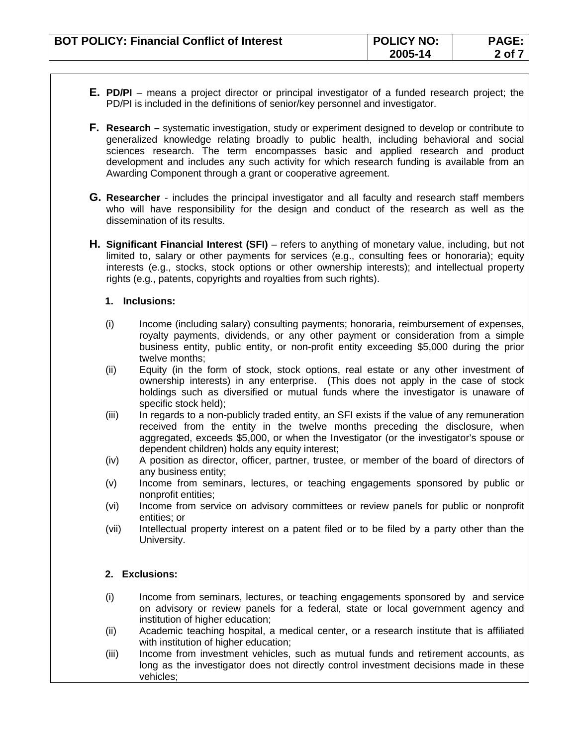- **E. PD/PI** means a project director or principal investigator of a funded research project; the PD/PI is included in the definitions of senior/key personnel and investigator.
- **F. Research –** systematic investigation, study or experiment designed to develop or contribute to generalized knowledge relating broadly to public health, including behavioral and social sciences research. The term encompasses basic and applied research and product development and includes any such activity for which research funding is available from an Awarding Component through a grant or cooperative agreement.
- **G. Researcher** includes the principal investigator and all faculty and research staff members who will have responsibility for the design and conduct of the research as well as the dissemination of its results.
- **H. Significant Financial Interest (SFI)** refers to anything of monetary value, including, but not limited to, salary or other payments for services (e.g., consulting fees or honoraria); equity interests (e.g., stocks, stock options or other ownership interests); and intellectual property rights (e.g., patents, copyrights and royalties from such rights).

#### **1. Inclusions:**

- (i) Income (including salary) consulting payments; honoraria, reimbursement of expenses, royalty payments, dividends, or any other payment or consideration from a simple business entity, public entity, or non-profit entity exceeding \$5,000 during the prior twelve months;
- (ii) Equity (in the form of stock, stock options, real estate or any other investment of ownership interests) in any enterprise. (This does not apply in the case of stock holdings such as diversified or mutual funds where the investigator is unaware of specific stock held);
- (iii) In regards to a non-publicly traded entity, an SFI exists if the value of any remuneration received from the entity in the twelve months preceding the disclosure, when aggregated, exceeds \$5,000, or when the Investigator (or the investigator's spouse or dependent children) holds any equity interest;
- (iv) A position as director, officer, partner, trustee, or member of the board of directors of any business entity;
- (v) Income from seminars, lectures, or teaching engagements sponsored by public or nonprofit entities;
- (vi) Income from service on advisory committees or review panels for public or nonprofit entities; or
- (vii) Intellectual property interest on a patent filed or to be filed by a party other than the University.

## **2. Exclusions:**

- (i) Income from seminars, lectures, or teaching engagements sponsored by and service on advisory or review panels for a federal, state or local government agency and institution of higher education;
- (ii) Academic teaching hospital, a medical center, or a research institute that is affiliated with institution of higher education;
- (iii) Income from investment vehicles, such as mutual funds and retirement accounts, as long as the investigator does not directly control investment decisions made in these vehicles;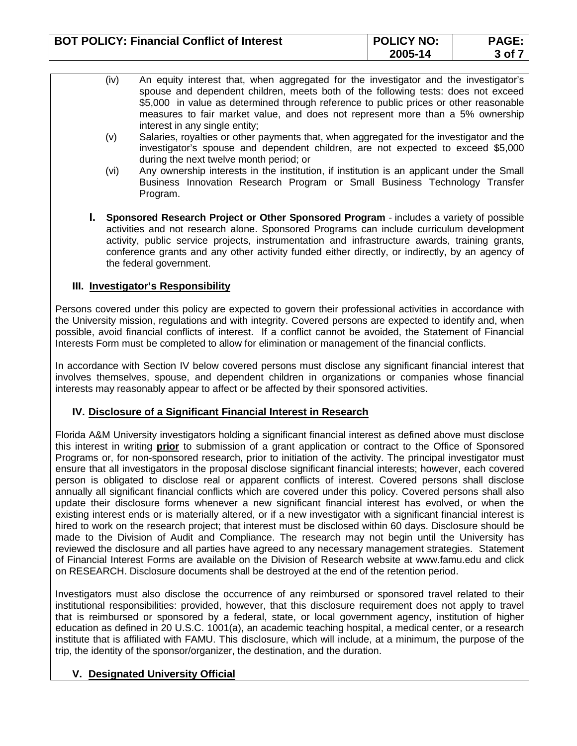| <b>BOT POLICY: Financial Conflict of Interest</b> | <b>POLICY NO:</b> | <b>PAGE:</b> |
|---------------------------------------------------|-------------------|--------------|
|                                                   | 2005-14           | 3 of         |

- (iv) An equity interest that, when aggregated for the investigator and the investigator's spouse and dependent children, meets both of the following tests: does not exceed \$5,000 in value as determined through reference to public prices or other reasonable measures to fair market value, and does not represent more than a 5% ownership interest in any single entity;
- (v) Salaries, royalties or other payments that, when aggregated for the investigator and the investigator's spouse and dependent children, are not expected to exceed \$5,000 during the next twelve month period; or
- (vi) Any ownership interests in the institution, if institution is an applicant under the Small Business Innovation Research Program or Small Business Technology Transfer Program.
- **I. Sponsored Research Project or Other Sponsored Program** includes a variety of possible activities and not research alone. Sponsored Programs can include curriculum development activity, public service projects, instrumentation and infrastructure awards, training grants, conference grants and any other activity funded either directly, or indirectly, by an agency of the federal government.

## **III. Investigator's Responsibility**

Persons covered under this policy are expected to govern their professional activities in accordance with the University mission, regulations and with integrity. Covered persons are expected to identify and, when possible, avoid financial conflicts of interest. If a conflict cannot be avoided, the Statement of Financial Interests Form must be completed to allow for elimination or management of the financial conflicts.

In accordance with Section IV below covered persons must disclose any significant financial interest that involves themselves, spouse, and dependent children in organizations or companies whose financial interests may reasonably appear to affect or be affected by their sponsored activities.

## **IV. Disclosure of a Significant Financial Interest in Research**

Florida A&M University investigators holding a significant financial interest as defined above must disclose this interest in writing **prior** to submission of a grant application or contract to the Office of Sponsored Programs or, for non-sponsored research, prior to initiation of the activity. The principal investigator must ensure that all investigators in the proposal disclose significant financial interests; however, each covered person is obligated to disclose real or apparent conflicts of interest. Covered persons shall disclose annually all significant financial conflicts which are covered under this policy. Covered persons shall also update their disclosure forms whenever a new significant financial interest has evolved, or when the existing interest ends or is materially altered, or if a new investigator with a significant financial interest is hired to work on the research project; that interest must be disclosed within 60 days. Disclosure should be made to the Division of Audit and Compliance. The research may not begin until the University has reviewed the disclosure and all parties have agreed to any necessary management strategies. Statement of Financial Interest Forms are available on the Division of Research website at [www.famu.edu](http://www.famu.edu/) and click on RESEARCH. Disclosure documents shall be destroyed at the end of the retention period.

Investigators must also disclose the occurrence of any reimbursed or sponsored travel related to their institutional responsibilities: provided, however, that this disclosure requirement does not apply to travel that is reimbursed or sponsored by a federal, state, or local government agency, institution of higher education as defined in 20 U.S.C. 1001(a), an academic teaching hospital, a medical center, or a research institute that is affiliated with FAMU. This disclosure, which will include, at a minimum, the purpose of the trip, the identity of the sponsor/organizer, the destination, and the duration.

## **V. Designated University Official**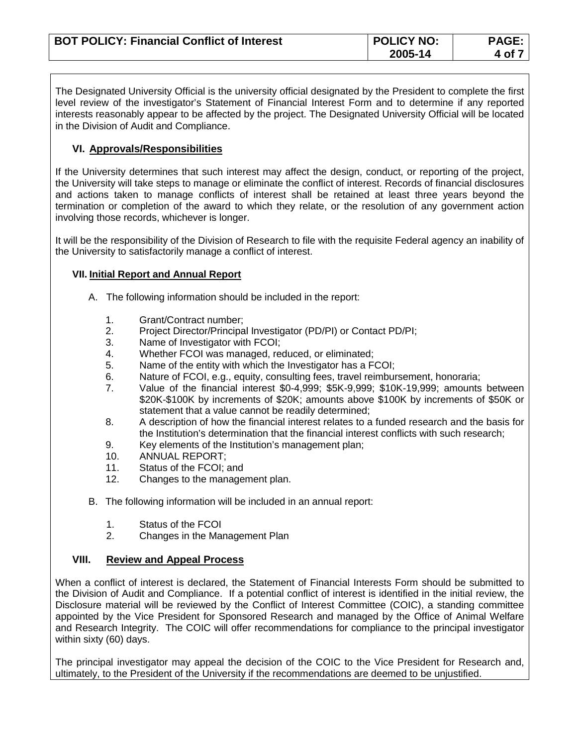| <b>BOT POLICY: Financial Conflict of Interest</b> | <b>POLICY NO:</b> | <b>PAGE:</b> |
|---------------------------------------------------|-------------------|--------------|
|                                                   | 2005-14           | 4 of '       |

The Designated University Official is the university official designated by the President to complete the first level review of the investigator's Statement of Financial Interest Form and to determine if any reported interests reasonably appear to be affected by the project. The Designated University Official will be located in the Division of Audit and Compliance.

## **VI. Approvals/Responsibilities**

If the University determines that such interest may affect the design, conduct, or reporting of the project, the University will take steps to manage or eliminate the conflict of interest. Records of financial disclosures and actions taken to manage conflicts of interest shall be retained at least three years beyond the termination or completion of the award to which they relate, or the resolution of any government action involving those records, whichever is longer.

It will be the responsibility of the Division of Research to file with the requisite Federal agency an inability of the University to satisfactorily manage a conflict of interest.

#### **VII. Initial Report and Annual Report**

- A. The following information should be included in the report:
	- 1. Grant/Contract number;
	- 2. Project Director/Principal Investigator (PD/PI) or Contact PD/PI;<br>3. Name of Investigator with FCOI:
	- Name of Investigator with FCOI;
	- 4. Whether FCOI was managed, reduced, or eliminated;
	- 5. Name of the entity with which the Investigator has a FCOI;
	- 6. Nature of FCOI, e.g., equity, consulting fees, travel reimbursement, honoraria;
	- 7. Value of the financial interest \$0-4,999; \$5K-9,999; \$10K-19,999; amounts between \$20K-\$100K by increments of \$20K; amounts above \$100K by increments of \$50K or statement that a value cannot be readily determined;
	- 8. A description of how the financial interest relates to a funded research and the basis for the Institution's determination that the financial interest conflicts with such research;
	- 9. Key elements of the Institution's management plan;
	- 10. ANNUAL REPORT;
	- 11. Status of the FCOI; and
	- 12. Changes to the management plan.
- B. The following information will be included in an annual report:
	- 1. Status of the FCOI
	- 2. Changes in the Management Plan

## **VIII. Review and Appeal Process**

When a conflict of interest is declared, the Statement of Financial Interests Form should be submitted to the Division of Audit and Compliance. If a potential conflict of interest is identified in the initial review, the Disclosure material will be reviewed by the Conflict of Interest Committee (COIC), a standing committee appointed by the Vice President for Sponsored Research and managed by the Office of Animal Welfare and Research Integrity. The COIC will offer recommendations for compliance to the principal investigator within sixty (60) days.

The principal investigator may appeal the decision of the COIC to the Vice President for Research and, ultimately, to the President of the University if the recommendations are deemed to be unjustified.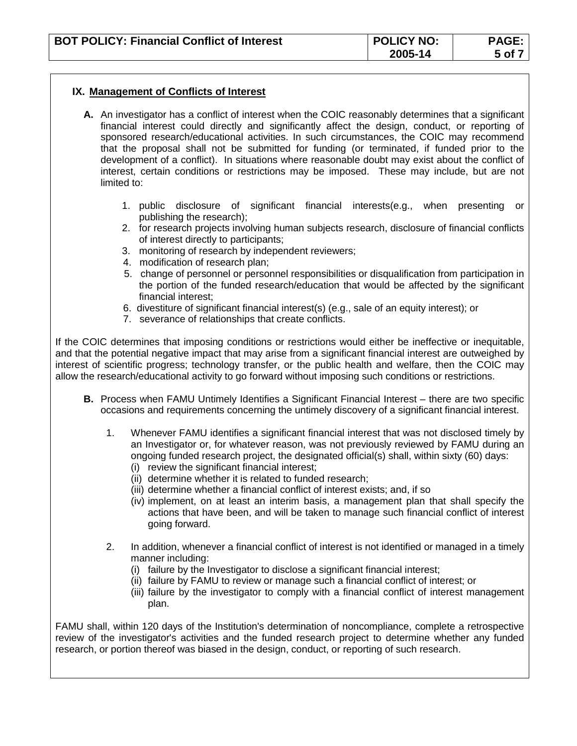| <b>BOT POLICY: Financial Conflict of Interest</b> | <b>POLICY NO:</b> | <b>PAGE:</b> |
|---------------------------------------------------|-------------------|--------------|
|                                                   | 2005-14           | 5 of i       |

#### **IX. Management of Conflicts of Interest**

- **A.** An investigator has a conflict of interest when the COIC reasonably determines that a significant financial interest could directly and significantly affect the design, conduct, or reporting of sponsored research/educational activities. In such circumstances, the COIC may recommend that the proposal shall not be submitted for funding (or terminated, if funded prior to the development of a conflict). In situations where reasonable doubt may exist about the conflict of interest, certain conditions or restrictions may be imposed. These may include, but are not limited to:
	- 1. public disclosure of significant financial interests(e.g., when presenting or publishing the research);
	- 2. for research projects involving human subjects research, disclosure of financial conflicts of interest directly to participants;
	- 3. monitoring of research by independent reviewers;
	- 4. modification of research plan;
	- 5. change of personnel or personnel responsibilities or disqualification from participation in the portion of the funded research/education that would be affected by the significant financial interest;
	- 6. divestiture of significant financial interest(s) (e.g., sale of an equity interest); or
	- 7. severance of relationships that create conflicts.

If the COIC determines that imposing conditions or restrictions would either be ineffective or inequitable, and that the potential negative impact that may arise from a significant financial interest are outweighed by interest of scientific progress; technology transfer, or the public health and welfare, then the COIC may allow the research/educational activity to go forward without imposing such conditions or restrictions.

- **B.** Process when FAMU Untimely Identifies a Significant Financial Interest there are two specific occasions and requirements concerning the untimely discovery of a significant financial interest.
	- 1. Whenever FAMU identifies a significant financial interest that was not disclosed timely by an Investigator or, for whatever reason, was not previously reviewed by FAMU during an ongoing funded research project, the designated official(s) shall, within sixty (60) days: (i) review the significant financial interest;
		- (ii) determine whether it is related to funded research;
		- (iii) determine whether a financial conflict of interest exists; and, if so
		- (iv) implement, on at least an interim basis, a management plan that shall specify the actions that have been, and will be taken to manage such financial conflict of interest going forward.
	- 2. In addition, whenever a financial conflict of interest is not identified or managed in a timely manner including:
		- (i) failure by the Investigator to disclose a significant financial interest;
		- (ii) failure by FAMU to review or manage such a financial conflict of interest; or
		- (iii) failure by the investigator to comply with a financial conflict of interest management plan.

FAMU shall, within 120 days of the Institution's determination of noncompliance, complete a retrospective review of the investigator's activities and the funded research project to determine whether any funded research, or portion thereof was biased in the design, conduct, or reporting of such research.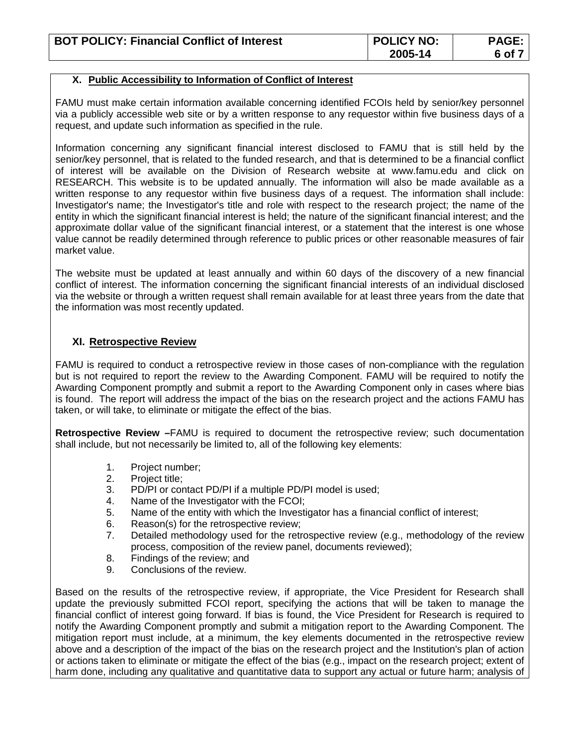| <b>BOT POLICY: Financial Conflict of Interest</b> | <b>POLICY NO:</b> | <b>PAGE:</b> |
|---------------------------------------------------|-------------------|--------------|
|                                                   | 2005-14           | $6$ of $7$   |

#### **X. Public Accessibility to Information of Conflict of Interest**

FAMU must make certain information available concerning identified FCOIs held by senior/key personnel via a publicly accessible web site or by a written response to any requestor within five business days of a request, and update such information as specified in the rule.

Information concerning any significant financial interest disclosed to FAMU that is still held by the senior/key personnel, that is related to the funded research, and that is determined to be a financial conflict of interest will be available on the Division of Research website at [www.famu.edu](http://www.famu.edu/) and click on RESEARCH. This website is to be updated annually. The information will also be made available as a written response to any requestor within five business days of a request. The information shall include: Investigator's name; the Investigator's title and role with respect to the research project; the name of the entity in which the significant financial interest is held; the nature of the significant financial interest; and the approximate dollar value of the significant financial interest, or a statement that the interest is one whose value cannot be readily determined through reference to public prices or other reasonable measures of fair market value.

The website must be updated at least annually and within 60 days of the discovery of a new financial conflict of interest. The information concerning the significant financial interests of an individual disclosed via the website or through a written request shall remain available for at least three years from the date that the information was most recently updated.

## **XI. Retrospective Review**

FAMU is required to conduct a retrospective review in those cases of non-compliance with the regulation but is not required to report the review to the Awarding Component. FAMU will be required to notify the Awarding Component promptly and submit a report to the Awarding Component only in cases where bias is found. The report will address the impact of the bias on the research project and the actions FAMU has taken, or will take, to eliminate or mitigate the effect of the bias.

**Retrospective Review –**FAMU is required to document the retrospective review; such documentation shall include, but not necessarily be limited to, all of the following key elements:

- 1. Project number;
- 2. Project title;
- 3. PD/PI or contact PD/PI if a multiple PD/PI model is used;
- 4. Name of the Investigator with the FCOI;
- 5. Name of the entity with which the Investigator has a financial conflict of interest;
- 6. Reason(s) for the retrospective review;
- 7. Detailed methodology used for the retrospective review (e.g., methodology of the review process, composition of the review panel, documents reviewed);
- 8. Findings of the review; and
- 9. Conclusions of the review.

Based on the results of the retrospective review, if appropriate, the Vice President for Research shall update the previously submitted FCOI report, specifying the actions that will be taken to manage the financial conflict of interest going forward. If bias is found, the Vice President for Research is required to notify the Awarding Component promptly and submit a mitigation report to the Awarding Component. The mitigation report must include, at a minimum, the key elements documented in the retrospective review above and a description of the impact of the bias on the research project and the Institution's plan of action or actions taken to eliminate or mitigate the effect of the bias (e.g., impact on the research project; extent of harm done, including any qualitative and quantitative data to support any actual or future harm; analysis of